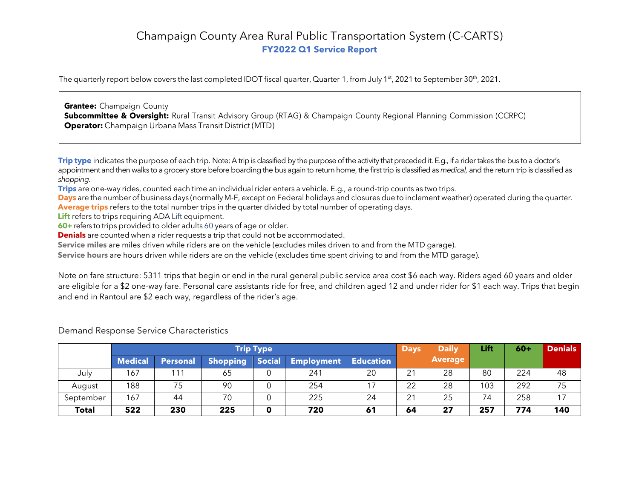# Champaign County Area Rural Public Transportation System (C-CARTS) **FY2022 Q1 Service Report**

The quarterly report below covers the last completed IDOT fiscal quarter, Quarter 1, from July 1<sup>st</sup>, 2021 to September 30<sup>th</sup>, 2021.

**Grantee:** Champaign County **Subcommittee & Oversight:** Rural Transit Advisory Group (RTAG) & Champaign County Regional Planning Commission (CCRPC) **Operator:** Champaign Urbana Mass Transit District (MTD)

**Trip type** indicates the purpose of each trip. Note: A trip is classified by the purpose of the activity that preceded it. E.g., if a rider takes the bus to a doctor's appointment and then walks to a grocery store before boarding the bus again to return home, the first trip is classified as *medical*, and the return trip is classified as *shopping*.

**Trips** are one-way rides, counted each time an individual rider enters a vehicle. E.g., a round-trip counts as two trips.

**Days** are the number of business days (normally M-F, except on Federal holidays and closures due to inclement weather) operated during the quarter. **Average trips** refers to the total number trips in the quarter divided by total number of operating days.

**Lift** refers to trips requiring ADA Lift equipment.

**60+** refers to trips provided to older adults 60 years of age or older.

**Denials** are counted when a rider requests a trip that could not be accommodated.

**Service miles** are miles driven while riders are on the vehicle (excludes miles driven to and from the MTD garage).

**Service hours** are hours driven while riders are on the vehicle (excludes time spent driving to and from the MTD garage).

Note on fare structure: 5311 trips that begin or end in the rural general public service area cost \$6 each way. Riders aged 60 years and older are eligible for a \$2 one-way fare. Personal care assistants ride for free, and children aged 12 and under rider for \$1 each way. Trips that begin and end in Rantoul are \$2 each way, regardless of the rider's age.

|              | <b>Trip Type</b> |                 |                 |               |                   |                  | <b>Days</b> | <b>Daily</b>   | Lift | $60+$ | <b>Denials</b> |
|--------------|------------------|-----------------|-----------------|---------------|-------------------|------------------|-------------|----------------|------|-------|----------------|
|              | <b>Medical</b>   | <b>Personal</b> | <b>Shopping</b> | <b>Social</b> | <b>Employment</b> | <b>Education</b> |             | <b>Average</b> |      |       |                |
| July         | 167              | ' 11            | 65              |               | 241               | 20               | 21          | 28             | 80   | 224   | 48             |
| August       | 188              | 75              | 90              | 0             | 254               |                  | 22          | 28             | 103  | 292   | 75             |
| September    | 167              | 44              | 70              | 0             | 225               | 24               | 21          | 25             | 74   | 258   | 17             |
| <b>Total</b> | 522              | 230             | 225             | 0             | 720               | 61               | 64          | 27             | 257  | 774   | 140            |

#### Demand Response Service Characteristics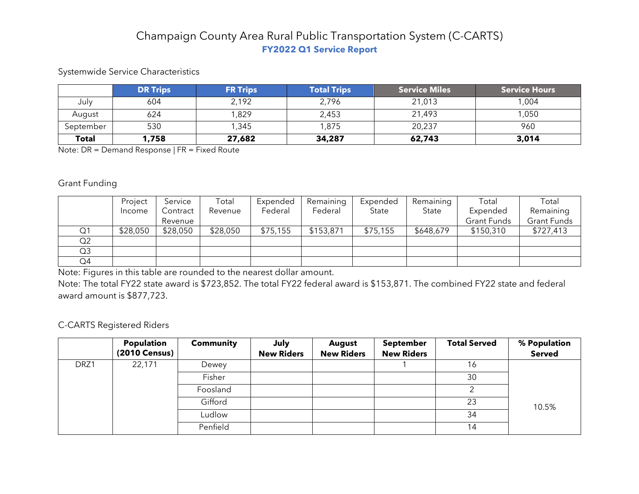# Champaign County Area Rural Public Transportation System (C-CARTS) **FY2022 Q1 Service Report**

## Systemwide Service Characteristics

|              | <b>DR Trips</b> | <b>FR Trips</b> | <b>Total Trips</b> | <b>Service Miles</b> | <b>Service Hours</b> |
|--------------|-----------------|-----------------|--------------------|----------------------|----------------------|
| July         | 604             | 2,192           | 2,796              | 21,013               | 1,004                |
| August       | 624             | 1,829           | 2,453              | 21,493               | 050,                 |
| September    | 530             | 1,345           | 1,875              | 20,237               | 960                  |
| <b>Total</b> | 1,758           | 27,682          | 34,287             | 62,743               | 3,014                |

Note: DR = Demand Response | FR = Fixed Route

#### Grant Funding

|                | Project  | Service  | Total    | Expended | Remaining | Expended | Remaining | Total              | Total              |
|----------------|----------|----------|----------|----------|-----------|----------|-----------|--------------------|--------------------|
|                | Income   | Contract | Revenue  | Federal  | Federal   | State    | State     | Expended           | Remaining          |
|                |          | Revenue  |          |          |           |          |           | <b>Grant Funds</b> | <b>Grant Funds</b> |
| Q1             | \$28,050 | \$28,050 | \$28,050 | \$75,155 | \$153,871 | \$75,155 | \$648,679 | \$150,310          | \$727,413          |
| Q <sub>2</sub> |          |          |          |          |           |          |           |                    |                    |
| Q3             |          |          |          |          |           |          |           |                    |                    |
| Q4             |          |          |          |          |           |          |           |                    |                    |

Note: Figures in this table are rounded to the nearest dollar amount.

Note: The total FY22 state award is \$723,852. The total FY22 federal award is \$153,871. The combined FY22 state and federal award amount is \$877,723.

## C-CARTS Registered Riders

|      | Population    | <b>Community</b> | July              | <b>August</b>     | <b>September</b>  | <b>Total Served</b> | % Population  |
|------|---------------|------------------|-------------------|-------------------|-------------------|---------------------|---------------|
|      | (2010 Census) |                  | <b>New Riders</b> | <b>New Riders</b> | <b>New Riders</b> |                     | <b>Served</b> |
| DRZ1 | 22,171        | Dewey            |                   |                   |                   | 16                  |               |
|      |               | Fisher           |                   |                   |                   | 30                  |               |
|      |               | Foosland         |                   |                   |                   |                     |               |
|      |               | Gifford          |                   |                   |                   | 23                  | 10.5%         |
|      |               | Ludlow           |                   |                   |                   | 34                  |               |
|      |               | Penfield         |                   |                   |                   | 14                  |               |